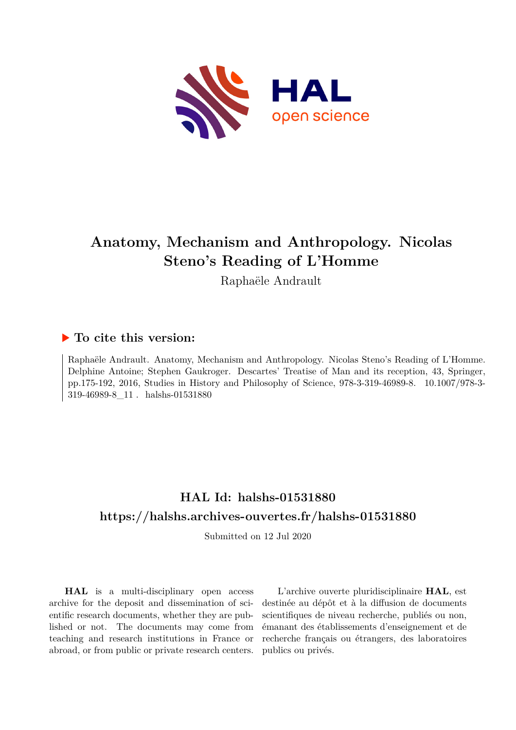

# **Anatomy, Mechanism and Anthropology. Nicolas Steno's Reading of L'Homme**

Raphaële Andrault

## **To cite this version:**

Raphaële Andrault. Anatomy, Mechanism and Anthropology. Nicolas Steno's Reading of L'Homme. Delphine Antoine; Stephen Gaukroger. Descartes' Treatise of Man and its reception, 43, Springer, pp.175-192, 2016, Studies in History and Philosophy of Science, 978-3-319-46989-8. 10.1007/978-3-319-46989-8 $11.$  halshs-01531880

## **HAL Id: halshs-01531880 <https://halshs.archives-ouvertes.fr/halshs-01531880>**

Submitted on 12 Jul 2020

**HAL** is a multi-disciplinary open access archive for the deposit and dissemination of scientific research documents, whether they are published or not. The documents may come from teaching and research institutions in France or abroad, or from public or private research centers.

L'archive ouverte pluridisciplinaire **HAL**, est destinée au dépôt et à la diffusion de documents scientifiques de niveau recherche, publiés ou non, émanant des établissements d'enseignement et de recherche français ou étrangers, des laboratoires publics ou privés.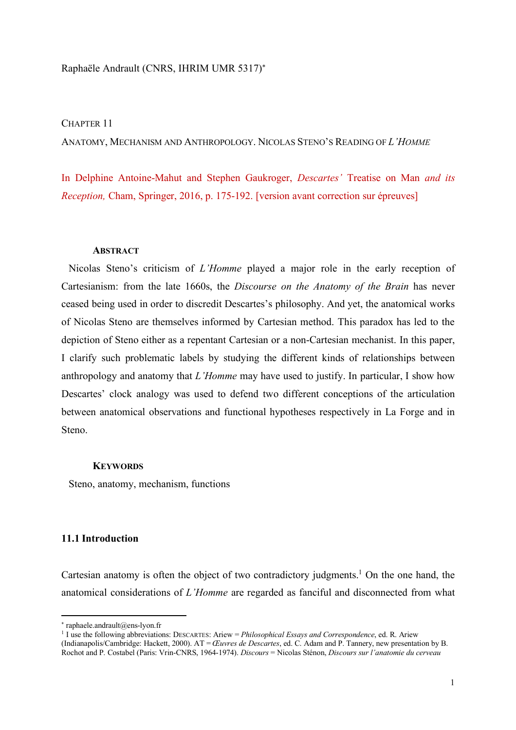## Raphaële Andrault (CNRS, IHRIM UMR 5317)\*

#### CHAPTER 11

ANATOMY, MECHANISM AND ANTHROPOLOGY. NICOLAS STENO'S READING OF *L'HOMME*

In Delphine Antoine-Mahut and Stephen Gaukroger, *Descartes'* Treatise on Man *and its Reception,* Cham, Springer, 2016, p. 175-192. [version avant correction sur épreuves]

#### **ABSTRACT**

Nicolas Steno's criticism of *L'Homme* played a major role in the early reception of Cartesianism: from the late 1660s, the *Discourse on the Anatomy of the Brain* has never ceased being used in order to discredit Descartes's philosophy. And yet, the anatomical works of Nicolas Steno are themselves informed by Cartesian method. This paradox has led to the depiction of Steno either as a repentant Cartesian or a non-Cartesian mechanist. In this paper, I clarify such problematic labels by studying the different kinds of relationships between anthropology and anatomy that *L'Homme* may have used to justify. In particular, I show how Descartes' clock analogy was used to defend two different conceptions of the articulation between anatomical observations and functional hypotheses respectively in La Forge and in Steno.

#### **KEYWORDS**

Steno, anatomy, mechanism, functions

## **11.1 Introduction**

Cartesian anatomy is often the object of two contradictory judgments. <sup>1</sup> On the one hand, the anatomical considerations of *L'Homme* are regarded as fanciful and disconnected from what

<sup>\*</sup> raphaele.andrault@ens-lyon.fr

<sup>&</sup>lt;sup>1</sup> I use the following abbreviations: DESCARTES: Ariew = *Philosophical Essays and Correspondence*, ed. R. Ariew (Indianapolis/Cambridge: Hackett, 2000). AT = *Œuvres de Descartes*, ed. C. Adam and P. Tannery, new presentation by B. Rochot and P. Costabel (Paris: Vrin-CNRS, 1964-1974). *Discours* = Nicolas Sténon, *Discours sur l'anatomie du cerveau*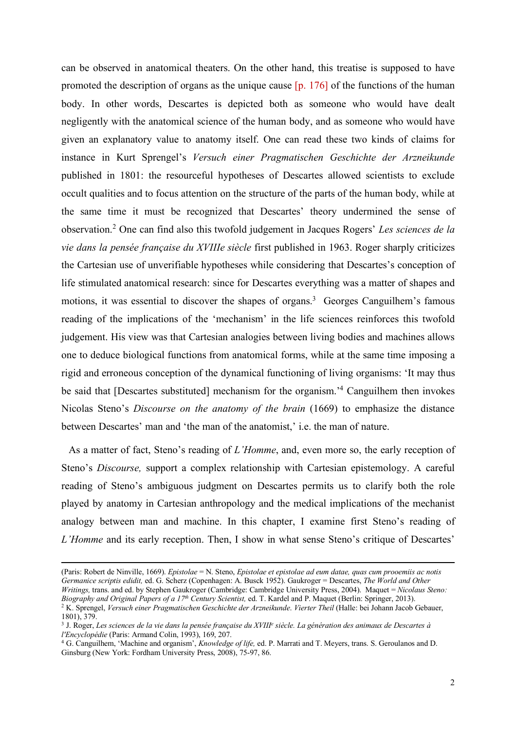can be observed in anatomical theaters. On the other hand, this treatise is supposed to have promoted the description of organs as the unique cause [p. 176] of the functions of the human body. In other words, Descartes is depicted both as someone who would have dealt negligently with the anatomical science of the human body, and as someone who would have given an explanatory value to anatomy itself. One can read these two kinds of claims for instance in Kurt Sprengel's *Versuch einer Pragmatischen Geschichte der Arzneikunde*  published in 1801: the resourceful hypotheses of Descartes allowed scientists to exclude occult qualities and to focus attention on the structure of the parts of the human body, while at the same time it must be recognized that Descartes' theory undermined the sense of observation.2 One can find also this twofold judgement in Jacques Rogers' *Les sciences de la vie dans la pensée française du XVIIIe siècle* first published in 1963. Roger sharply criticizes the Cartesian use of unverifiable hypotheses while considering that Descartes's conception of life stimulated anatomical research: since for Descartes everything was a matter of shapes and motions, it was essential to discover the shapes of organs.<sup>3</sup> Georges Canguilhem's famous reading of the implications of the 'mechanism' in the life sciences reinforces this twofold judgement. His view was that Cartesian analogies between living bodies and machines allows one to deduce biological functions from anatomical forms, while at the same time imposing a rigid and erroneous conception of the dynamical functioning of living organisms: 'It may thus be said that [Descartes substituted] mechanism for the organism.' <sup>4</sup> Canguilhem then invokes Nicolas Steno's *Discourse on the anatomy of the brain* (1669) to emphasize the distance between Descartes' man and 'the man of the anatomist,' i.e. the man of nature.

As a matter of fact, Steno's reading of *L'Homme*, and, even more so, the early reception of Steno's *Discourse,* support a complex relationship with Cartesian epistemology. A careful reading of Steno's ambiguous judgment on Descartes permits us to clarify both the role played by anatomy in Cartesian anthropology and the medical implications of the mechanist analogy between man and machine. In this chapter, I examine first Steno's reading of *L'Homme* and its early reception. Then, I show in what sense Steno's critique of Descartes'

<u>.</u>

<sup>(</sup>Paris: Robert de Ninville, 1669). *Epistolae* = N. Steno, *Epistolae et epistolae ad eum datae, quas cum prooemiis ac notis Germanice scriptis edidit,* ed. G. Scherz (Copenhagen: A. Busck 1952). Gaukroger = Descartes, *The World and Other Writings,* trans. and ed. by Stephen Gaukroger (Cambridge: Cambridge University Press, 2004). Maquet = *Nicolaus Steno: Biography and Original Papers of a 17th Century Scientist,* ed. T. Kardel and P. Maquet (Berlin: Springer, 2013).

<sup>2</sup> K. Sprengel, *Versuch einer Pragmatischen Geschichte der Arzneikunde*. *Vierter Theil* (Halle: bei Johann Jacob Gebauer, 1801), 379. <sup>3</sup> J. Roger, *Les sciences de la vie dans la pensée française du XVIIIe siècle. La génération des animaux de Descartes à* 

*l'Encyclopédie* (Paris: Armand Colin, 1993), 169, 207.

<sup>4</sup> G. Canguilhem, 'Machine and organism', *Knowledge of life,* ed. P. Marrati and T. Meyers, trans. S. Geroulanos and D. Ginsburg (New York: Fordham University Press, 2008), 75-97, 86.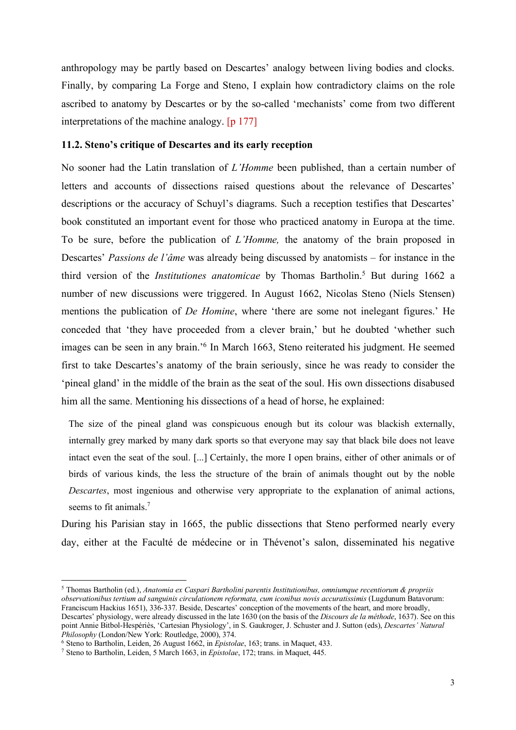anthropology may be partly based on Descartes' analogy between living bodies and clocks. Finally, by comparing La Forge and Steno, I explain how contradictory claims on the role ascribed to anatomy by Descartes or by the so-called 'mechanists' come from two different interpretations of the machine analogy. [p 177]

## **11.2. Steno's critique of Descartes and its early reception**

No sooner had the Latin translation of *L'Homme* been published, than a certain number of letters and accounts of dissections raised questions about the relevance of Descartes' descriptions or the accuracy of Schuyl's diagrams. Such a reception testifies that Descartes' book constituted an important event for those who practiced anatomy in Europa at the time. To be sure, before the publication of *L'Homme,* the anatomy of the brain proposed in Descartes' *Passions de l'âme* was already being discussed by anatomists – for instance in the third version of the *Institutiones anatomicae* by Thomas Bartholin.5 But during 1662 a number of new discussions were triggered. In August 1662, Nicolas Steno (Niels Stensen) mentions the publication of *De Homine*, where 'there are some not inelegant figures.' He conceded that 'they have proceeded from a clever brain,' but he doubted 'whether such images can be seen in any brain.' <sup>6</sup> In March 1663, Steno reiterated his judgment. He seemed first to take Descartes's anatomy of the brain seriously, since he was ready to consider the 'pineal gland' in the middle of the brain as the seat of the soul. His own dissections disabused him all the same. Mentioning his dissections of a head of horse, he explained:

The size of the pineal gland was conspicuous enough but its colour was blackish externally, internally grey marked by many dark sports so that everyone may say that black bile does not leave intact even the seat of the soul. [...] Certainly, the more I open brains, either of other animals or of birds of various kinds, the less the structure of the brain of animals thought out by the noble *Descartes*, most ingenious and otherwise very appropriate to the explanation of animal actions, seems to fit animals.<sup>7</sup>

During his Parisian stay in 1665, the public dissections that Steno performed nearly every day, either at the Faculté de médecine or in Thévenot's salon, disseminated his negative

<sup>5</sup> Thomas Bartholin (ed.), *Anatomia ex Caspari Bartholini parentis Institutionibus, omniumque recentiorum & propriis observationibus tertium ad sanguinis circulationem reformata, cum iconibus novis accuratissimis* (Lugdunum Batavorum: Franciscum Hackius 1651), 336*-*337. Beside, Descartes' conception of the movements of the heart, and more broadly, Descartes' physiology, were already discussed in the late 1630 (on the basis of the *Discours de la méthode*, 1637). See on this point Annie Bitbol-Hespériès, 'Cartesian Physiology', in S. Gaukroger, J. Schuster and J. Sutton (eds), *Descartes' Natural* 

<sup>&</sup>lt;sup>6</sup> Steno to Bartholin, Leiden, 26 August 1662, in *Epistolae*, 163; trans. in Maquet, 433.

<sup>7</sup> Steno to Bartholin, Leiden, 5 March 1663, in *Epistolae*, 172; trans. in Maquet, 445.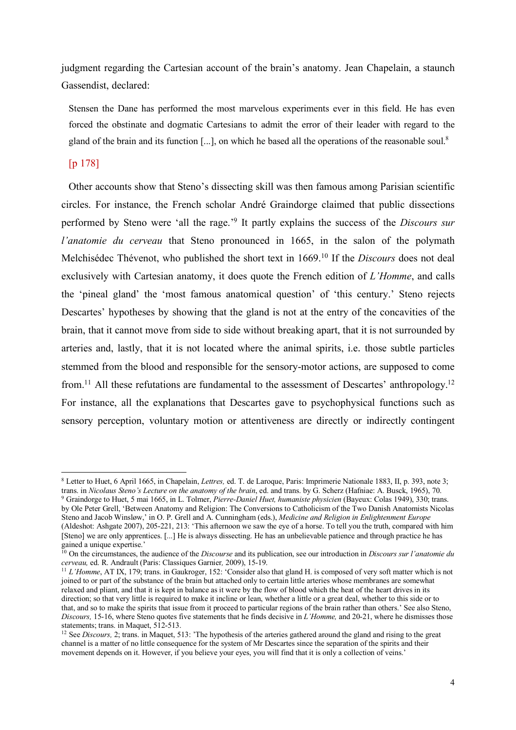judgment regarding the Cartesian account of the brain's anatomy. Jean Chapelain, a staunch Gassendist, declared:

Stensen the Dane has performed the most marvelous experiments ever in this field. He has even forced the obstinate and dogmatic Cartesians to admit the error of their leader with regard to the gland of the brain and its function [...], on which he based all the operations of the reasonable soul.<sup>8</sup>

## [p 178]

 $\overline{a}$ 

Other accounts show that Steno's dissecting skill was then famous among Parisian scientific circles. For instance, the French scholar André Graindorge claimed that public dissections performed by Steno were 'all the rage.' <sup>9</sup> It partly explains the success of the *Discours sur l'anatomie du cerveau* that Steno pronounced in 1665, in the salon of the polymath Melchisédec Thévenot, who published the short text in 1669. <sup>10</sup> If the *Discours* does not deal exclusively with Cartesian anatomy, it does quote the French edition of *L'Homme*, and calls the 'pineal gland' the 'most famous anatomical question' of 'this century.' Steno rejects Descartes' hypotheses by showing that the gland is not at the entry of the concavities of the brain, that it cannot move from side to side without breaking apart, that it is not surrounded by arteries and, lastly, that it is not located where the animal spirits, i.e. those subtle particles stemmed from the blood and responsible for the sensory-motor actions, are supposed to come from.<sup>11</sup> All these refutations are fundamental to the assessment of Descartes' anthropology.<sup>12</sup> For instance, all the explanations that Descartes gave to psychophysical functions such as sensory perception, voluntary motion or attentiveness are directly or indirectly contingent

<sup>8</sup> Letter to Huet, 6 April 1665, in Chapelain, *Lettres,* ed. T. de Laroque, Paris: Imprimerie Nationale 1883, II, p. 393, note 3; trans. in *Nicolaus Steno's Lecture on the anatomy of the brain*, ed. and trans. by G. Scherz (Hafniae: A. Busck, 1965), 70.

<sup>9</sup> Graindorge to Huet, 5 mai 1665, in L. Tolmer, *Pierre-Daniel Huet, humaniste physicien* (Bayeux: Colas 1949), 330; trans. by Ole Peter Grell, 'Between Anatomy and Religion: The Conversions to Catholicism of the Two Danish Anatomists Nicolas Steno and Jacob Winsløw,' in O. P. Grell and A. Cunningham (eds.), *Medicine and Religion in Enlightenment Europe* (Aldeshot: Ashgate 2007), 205-221, 213: 'This afternoon we saw the eye of a horse. To tell you the truth, compared with him [Steno] we are only apprentices. [...] He is always dissecting. He has an unbelievable patience and through practice he has gained a unique expertise.'

<sup>10</sup> On the circumstances, the audience of the *Discourse* and its publication, see our introduction in *Discours sur l'anatomie du cerveau,* ed. R. Andrault (Paris: Classiques Garnier*,* 2009), 15-19.

<sup>11</sup> *L'Homme*, AT IX, 179; trans. in Gaukroger, 152: 'Consider also that gland H. is composed of very soft matter which is not joined to or part of the substance of the brain but attached only to certain little arteries whose membranes are somewhat relaxed and pliant, and that it is kept in balance as it were by the flow of blood which the heat of the heart drives in its direction; so that very little is required to make it incline or lean, whether a little or a great deal, whether to this side or to that, and so to make the spirits that issue from it proceed to particular regions of the brain rather than others.' See also Steno, *Discours,* 15-16, where Steno quotes five statements that he finds decisive in *L'Homme,* and 20-21, where he dismisses those statements; trans. in Maquet, 512-513.<br><sup>12</sup> See *Discours*, 2; trans. in Maquet, 513: 'The hypothesis of the arteries gathered around the gland and rising to the great

channel is a matter of no little consequence for the system of Mr Descartes since the separation of the spirits and their movement depends on it. However, if you believe your eyes, you will find that it is only a collection of veins.'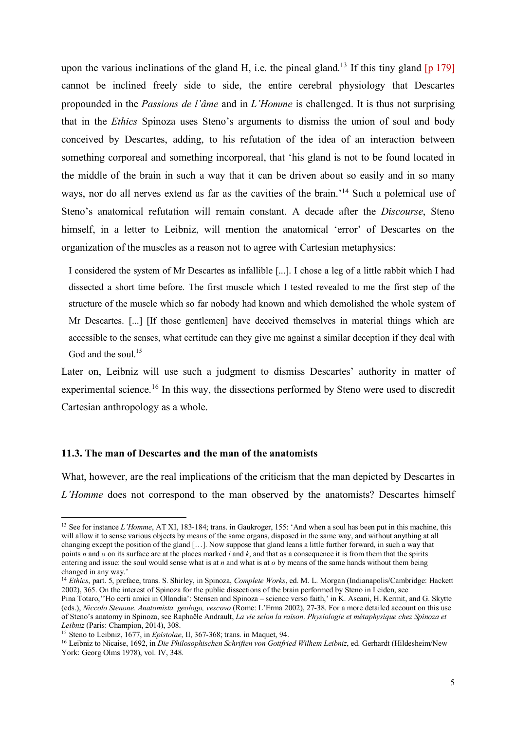upon the various inclinations of the gland H, i.e. the pineal gland.<sup>13</sup> If this tiny gland [p 179] cannot be inclined freely side to side, the entire cerebral physiology that Descartes propounded in the *Passions de l'âme* and in *L'Homme* is challenged. It is thus not surprising that in the *Ethics* Spinoza uses Steno's arguments to dismiss the union of soul and body conceived by Descartes, adding, to his refutation of the idea of an interaction between something corporeal and something incorporeal, that 'his gland is not to be found located in the middle of the brain in such a way that it can be driven about so easily and in so many ways, nor do all nerves extend as far as the cavities of the brain.<sup>'14</sup> Such a polemical use of Steno's anatomical refutation will remain constant. A decade after the *Discourse*, Steno himself, in a letter to Leibniz, will mention the anatomical 'error' of Descartes on the organization of the muscles as a reason not to agree with Cartesian metaphysics:

I considered the system of Mr Descartes as infallible [...]. I chose a leg of a little rabbit which I had dissected a short time before. The first muscle which I tested revealed to me the first step of the structure of the muscle which so far nobody had known and which demolished the whole system of Mr Descartes. [...] [If those gentlemen] have deceived themselves in material things which are accessible to the senses, what certitude can they give me against a similar deception if they deal with God and the soul.<sup>15</sup>

Later on, Leibniz will use such a judgment to dismiss Descartes' authority in matter of experimental science.<sup>16</sup> In this way, the dissections performed by Steno were used to discredit Cartesian anthropology as a whole.

## **11.3. The man of Descartes and the man of the anatomists**

What, however, are the real implications of the criticism that the man depicted by Descartes in *L'Homme* does not correspond to the man observed by the anatomists? Descartes himself

<sup>&</sup>lt;sup>13</sup> See for instance *L'Homme*, AT XI, 183-184; trans. in Gaukroger, 155: 'And when a soul has been put in this machine, this will allow it to sense various objects by means of the same organs, disposed in the same way, and without anything at all changing except the position of the gland […]. Now suppose that gland leans a little further forward, in such a way that points *n* and *o* on its surface are at the places marked *i* and *k*, and that as a consequence it is from them that the spirits entering and issue: the soul would sense what is at *n* and what is at *o* by means of the same hands without them being changed in any way.'

<sup>14</sup> *Ethics*, part. 5, preface, trans. S. Shirley, in Spinoza, *Complete Works*, ed. M. L. Morgan (Indianapolis/Cambridge: Hackett 2002), 365. On the interest of Spinoza for the public dissections of the brain performed by Steno in Leiden, see

Pina Totaro,''Ho certi amici in Ollandia': Stensen and Spinoza – science verso faith,' in K. Ascani, H. Kermit, and G. Skytte (eds.), *Niccolo Stenone. Anatomista, geologo, vescovo* (Rome: L'Erma 2002), 27-38. For a more detailed account on this use of Steno's anatomy in Spinoza, see Raphaële Andrault, *La vie selon la raison*. *Physiologie et métaphysique chez Spinoza et Leibniz* (Paris: Champion, 2014), 308.

<sup>15</sup> Steno to Leibniz, 1677, in *Epistolae*, II, 367-368; trans. in Maquet, 94.

<sup>16</sup> Leibniz to Nicaise, 1692, in *Die Philosophischen Schriften von Gottfried Wilhem Leibniz*, ed. Gerhardt (Hildesheim/New York: Georg Olms 1978), vol. IV, 348.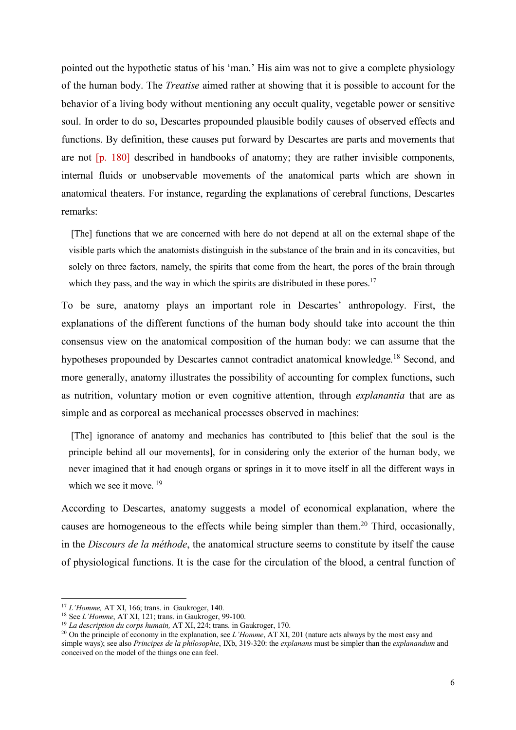pointed out the hypothetic status of his 'man.' His aim was not to give a complete physiology of the human body. The *Treatise* aimed rather at showing that it is possible to account for the behavior of a living body without mentioning any occult quality, vegetable power or sensitive soul. In order to do so, Descartes propounded plausible bodily causes of observed effects and functions. By definition, these causes put forward by Descartes are parts and movements that are not [p. 180] described in handbooks of anatomy; they are rather invisible components, internal fluids or unobservable movements of the anatomical parts which are shown in anatomical theaters. For instance, regarding the explanations of cerebral functions, Descartes remarks:

[The] functions that we are concerned with here do not depend at all on the external shape of the visible parts which the anatomists distinguish in the substance of the brain and in its concavities, but solely on three factors, namely, the spirits that come from the heart, the pores of the brain through which they pass, and the way in which the spirits are distributed in these pores.<sup>17</sup>

To be sure, anatomy plays an important role in Descartes' anthropology. First, the explanations of the different functions of the human body should take into account the thin consensus view on the anatomical composition of the human body: we can assume that the hypotheses propounded by Descartes cannot contradict anatomical knowledge*.* <sup>18</sup> Second, and more generally, anatomy illustrates the possibility of accounting for complex functions, such as nutrition, voluntary motion or even cognitive attention, through *explanantia* that are as simple and as corporeal as mechanical processes observed in machines:

[The] ignorance of anatomy and mechanics has contributed to [this belief that the soul is the principle behind all our movements], for in considering only the exterior of the human body, we never imagined that it had enough organs or springs in it to move itself in all the different ways in which we see it move.<sup>19</sup>

According to Descartes, anatomy suggests a model of economical explanation, where the causes are homogeneous to the effects while being simpler than them. <sup>20</sup> Third, occasionally, in the *Discours de la méthode*, the anatomical structure seems to constitute by itself the cause of physiological functions. It is the case for the circulation of the blood, a central function of

<sup>17</sup> *L'Homme,* AT XI, 166; trans. in Gaukroger, 140.

<sup>&</sup>lt;sup>18</sup> See *L'Homme*, AT XI, 121; trans. in Gaukroger, 99-100.<br><sup>19</sup> La description du corps humain, AT XI, 224; trans. in Gaukroger, 170.

<sup>&</sup>lt;sup>20</sup> On the principle of economy in the explanation, see *L'Homme*, AT XI, 201 (nature acts always by the most easy and simple ways); see also *Principes de la philosophie*, IXb, 319-320: the *explanans* must be simpler than the *explanandum* and conceived on the model of the things one can feel.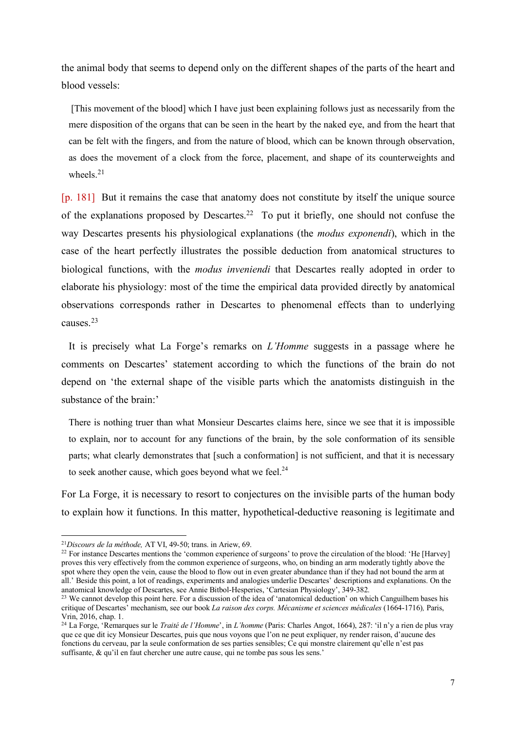the animal body that seems to depend only on the different shapes of the parts of the heart and blood vessels:

[This movement of the blood] which I have just been explaining follows just as necessarily from the mere disposition of the organs that can be seen in the heart by the naked eye, and from the heart that can be felt with the fingers, and from the nature of blood, which can be known through observation, as does the movement of a clock from the force, placement, and shape of its counterweights and wheels. $21$ 

[p. 181] But it remains the case that anatomy does not constitute by itself the unique source of the explanations proposed by Descartes. <sup>22</sup> To put it briefly, one should not confuse the way Descartes presents his physiological explanations (the *modus exponendi*), which in the case of the heart perfectly illustrates the possible deduction from anatomical structures to biological functions, with the *modus inveniendi* that Descartes really adopted in order to elaborate his physiology: most of the time the empirical data provided directly by anatomical observations corresponds rather in Descartes to phenomenal effects than to underlying causes. 23

It is precisely what La Forge's remarks on *L'Homme* suggests in a passage where he comments on Descartes' statement according to which the functions of the brain do not depend on 'the external shape of the visible parts which the anatomists distinguish in the substance of the brain:'

There is nothing truer than what Monsieur Descartes claims here, since we see that it is impossible to explain, nor to account for any functions of the brain, by the sole conformation of its sensible parts; what clearly demonstrates that [such a conformation] is not sufficient, and that it is necessary to seek another cause, which goes beyond what we feel. $^{24}$ 

For La Forge, it is necessary to resort to conjectures on the invisible parts of the human body to explain how it functions. In this matter, hypothetical-deductive reasoning is legitimate and

<sup>21</sup>*Discours de la méthode,* AT VI, 49-50; trans. in Ariew, 69.

<sup>&</sup>lt;sup>22</sup> For instance Descartes mentions the 'common experience of surgeons' to prove the circulation of the blood: 'He [Harvey] proves this very effectively from the common experience of surgeons, who, on binding an arm moderatly tightly above the spot where they open the vein, cause the blood to flow out in even greater abundance than if they had not bound the arm at all.' Beside this point, a lot of readings, experiments and analogies underlie Descartes' descriptions and explanations. On the anatomical knowledge of Descartes, see Annie Bitbol-Hesperies, 'Cartesian Physiology', 349-382.

<sup>&</sup>lt;sup>23</sup> We cannot develop this point here. For a discussion of the idea of 'anatomical deduction' on which Canguilhem bases his critique of Descartes' mechanism, see our book *La raison des corps. Mécanisme et sciences médicales* (1664-1716)*,* Paris, Vrin, 2016, chap. 1.

<sup>24</sup> La Forge, 'Remarques sur le *Traité de l'Homme*', in *L'homme* (Paris: Charles Angot, 1664), 287: 'il n'y a rien de plus vray que ce que dit icy Monsieur Descartes, puis que nous voyons que l'on ne peut expliquer, ny render raison, d'aucune des fonctions du cerveau, par la seule conformation de ses parties sensibles; Ce qui monstre clairement qu'elle n'est pas suffisante, & qu'il en faut chercher une autre cause, qui ne tombe pas sous les sens.'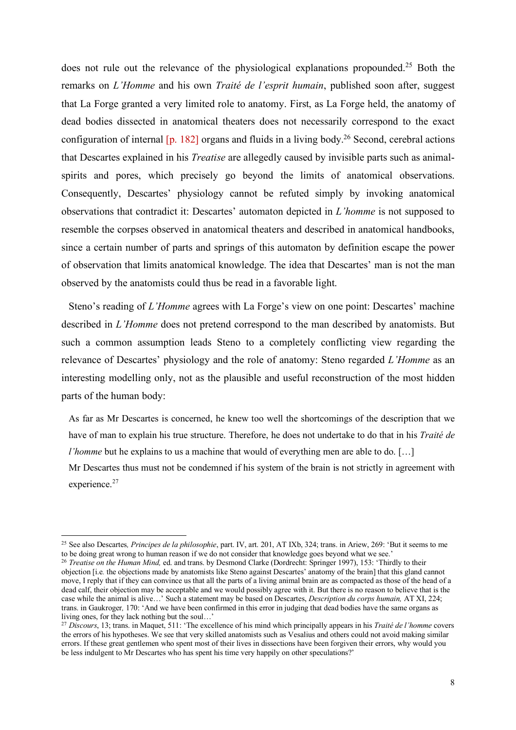does not rule out the relevance of the physiological explanations propounded.<sup>25</sup> Both the remarks on *L'Homme* and his own *Traité de l'esprit humain*, published soon after, suggest that La Forge granted a very limited role to anatomy. First, as La Forge held, the anatomy of dead bodies dissected in anatomical theaters does not necessarily correspond to the exact configuration of internal [p. 182] organs and fluids in a living body.<sup>26</sup> Second, cerebral actions that Descartes explained in his *Treatise* are allegedly caused by invisible parts such as animalspirits and pores, which precisely go beyond the limits of anatomical observations. Consequently, Descartes' physiology cannot be refuted simply by invoking anatomical observations that contradict it: Descartes' automaton depicted in *L'homme* is not supposed to resemble the corpses observed in anatomical theaters and described in anatomical handbooks, since a certain number of parts and springs of this automaton by definition escape the power of observation that limits anatomical knowledge. The idea that Descartes' man is not the man observed by the anatomists could thus be read in a favorable light.

Steno's reading of *L'Homme* agrees with La Forge's view on one point: Descartes' machine described in *L'Homme* does not pretend correspond to the man described by anatomists. But such a common assumption leads Steno to a completely conflicting view regarding the relevance of Descartes' physiology and the role of anatomy: Steno regarded *L'Homme* as an interesting modelling only, not as the plausible and useful reconstruction of the most hidden parts of the human body:

As far as Mr Descartes is concerned, he knew too well the shortcomings of the description that we have of man to explain his true structure. Therefore, he does not undertake to do that in his *Traité de l'homme* but he explains to us a machine that would of everything men are able to do. [...]

Mr Descartes thus must not be condemned if his system of the brain is not strictly in agreement with experience.<sup>27</sup>

<sup>25</sup> See also Descartes*, Principes de la philosophie*, part. IV, art. 201, AT IXb, 324; trans. in Ariew, 269: 'But it seems to me to be doing great wrong to human reason if we do not consider that knowledge goes beyond what we see.'

<sup>26</sup> *Treatise on the Human Mind,* ed. and trans. by Desmond Clarke (Dordrecht: Springer 1997), 153: 'Thirdly to their objection [i.e*.* the objections made by anatomists like Steno against Descartes' anatomy of the brain] that this gland cannot move, I reply that if they can convince us that all the parts of a living animal brain are as compacted as those of the head of a dead calf, their objection may be acceptable and we would possibly agree with it. But there is no reason to believe that is the case while the animal is alive…' Such a statement may be based on Descartes, *Description du corps humain,* AT XI, 224; trans. in Gaukroger*,* 170: 'And we have been confirmed in this error in judging that dead bodies have the same organs as living ones, for they lack nothing but the soul…'

<sup>27</sup> *Discours*, 13; trans. in Maquet, 511: 'The excellence of his mind which principally appears in his *Traité de l'homme* covers the errors of his hypotheses. We see that very skilled anatomists such as Vesalius and others could not avoid making similar errors. If these great gentlemen who spent most of their lives in dissections have been forgiven their errors, why would you be less indulgent to Mr Descartes who has spent his time very happily on other speculations?'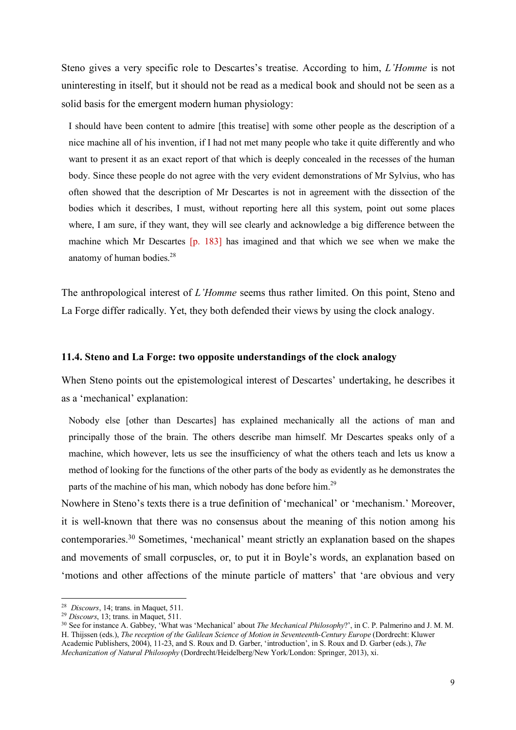Steno gives a very specific role to Descartes's treatise. According to him, *L'Homme* is not uninteresting in itself, but it should not be read as a medical book and should not be seen as a solid basis for the emergent modern human physiology:

I should have been content to admire [this treatise] with some other people as the description of a nice machine all of his invention, if I had not met many people who take it quite differently and who want to present it as an exact report of that which is deeply concealed in the recesses of the human body. Since these people do not agree with the very evident demonstrations of Mr Sylvius, who has often showed that the description of Mr Descartes is not in agreement with the dissection of the bodies which it describes, I must, without reporting here all this system, point out some places where, I am sure, if they want, they will see clearly and acknowledge a big difference between the machine which Mr Descartes [p. 183] has imagined and that which we see when we make the anatomy of human bodies.<sup>28</sup>

The anthropological interest of *L'Homme* seems thus rather limited. On this point, Steno and La Forge differ radically. Yet, they both defended their views by using the clock analogy.

## **11.4. Steno and La Forge: two opposite understandings of the clock analogy**

When Steno points out the epistemological interest of Descartes' undertaking, he describes it as a 'mechanical' explanation:

Nobody else [other than Descartes] has explained mechanically all the actions of man and principally those of the brain. The others describe man himself. Mr Descartes speaks only of a machine, which however, lets us see the insufficiency of what the others teach and lets us know a method of looking for the functions of the other parts of the body as evidently as he demonstrates the parts of the machine of his man, which nobody has done before him.<sup>29</sup>

Nowhere in Steno's texts there is a true definition of 'mechanical' or 'mechanism.' Moreover, it is well-known that there was no consensus about the meaning of this notion among his contemporaries.30 Sometimes, 'mechanical' meant strictly an explanation based on the shapes and movements of small corpuscles, or, to put it in Boyle's words, an explanation based on 'motions and other affections of the minute particle of matters' that 'are obvious and very

 $\overline{a}$ 

*Mechanization of Natural Philosophy* (Dordrecht/Heidelberg/New York/London: Springer, 2013), xi.

<sup>28</sup> *Discours*, 14; trans. in Maquet, 511.

<sup>29</sup> *Discours*, 13; trans. in Maquet, 511.

<sup>30</sup> See for instance A. Gabbey, 'What was 'Mechanical' about *The Mechanical Philosophy*?', in C. P. Palmerino and J. M. M. H. Thijssen (eds.), *The reception of the Galilean Science of Motion in Seventeenth-Century Europe* (Dordrecht: Kluwer Academic Publishers, 2004), 11-23, and S. Roux and D. Garber, 'introduction', in S. Roux and D. Garber (eds.), *The*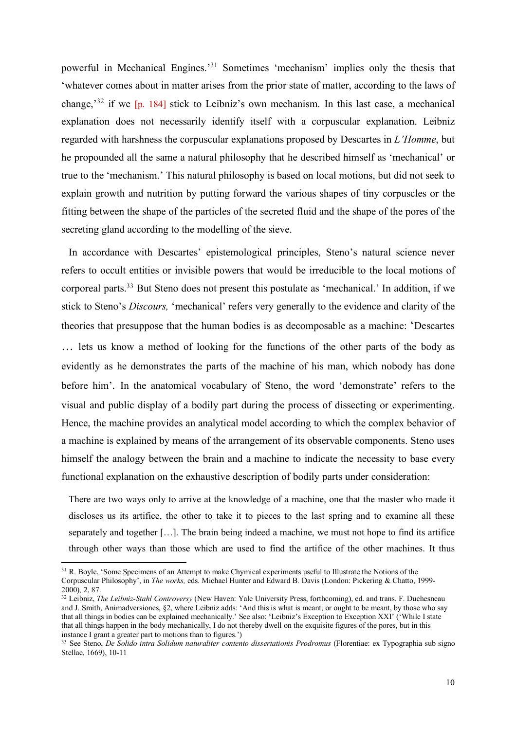powerful in Mechanical Engines.' <sup>31</sup> Sometimes 'mechanism' implies only the thesis that 'whatever comes about in matter arises from the prior state of matter, according to the laws of change,'32 if we [p. 184] stick to Leibniz's own mechanism. In this last case, a mechanical explanation does not necessarily identify itself with a corpuscular explanation. Leibniz regarded with harshness the corpuscular explanations proposed by Descartes in *L'Homme*, but he propounded all the same a natural philosophy that he described himself as 'mechanical' or true to the 'mechanism.' This natural philosophy is based on local motions, but did not seek to explain growth and nutrition by putting forward the various shapes of tiny corpuscles or the fitting between the shape of the particles of the secreted fluid and the shape of the pores of the secreting gland according to the modelling of the sieve.

In accordance with Descartes' epistemological principles, Steno's natural science never refers to occult entities or invisible powers that would be irreducible to the local motions of corporeal parts. <sup>33</sup> But Steno does not present this postulate as 'mechanical.' In addition, if we stick to Steno's *Discours,* 'mechanical' refers very generally to the evidence and clarity of the theories that presuppose that the human bodies is as decomposable as a machine: 'Descartes … lets us know a method of looking for the functions of the other parts of the body as evidently as he demonstrates the parts of the machine of his man, which nobody has done before him'. In the anatomical vocabulary of Steno, the word 'demonstrate' refers to the visual and public display of a bodily part during the process of dissecting or experimenting. Hence, the machine provides an analytical model according to which the complex behavior of a machine is explained by means of the arrangement of its observable components. Steno uses himself the analogy between the brain and a machine to indicate the necessity to base every functional explanation on the exhaustive description of bodily parts under consideration:

There are two ways only to arrive at the knowledge of a machine, one that the master who made it discloses us its artifice, the other to take it to pieces to the last spring and to examine all these separately and together […]. The brain being indeed a machine, we must not hope to find its artifice through other ways than those which are used to find the artifice of the other machines. It thus

<sup>&</sup>lt;sup>31</sup> R. Boyle, 'Some Specimens of an Attempt to make Chymical experiments useful to Illustrate the Notions of the Corpuscular Philosophy', in *The works,* eds. Michael Hunter and Edward B. Davis (London: Pickering & Chatto, 1999- 2000)*,* 2, 87.

<sup>32</sup> Leibniz, *The Leibniz-Stahl Controversy* (New Haven: Yale University Press, forthcoming), ed. and trans. F. Duchesneau and J. Smith, Animadversiones, §2, where Leibniz adds: 'And this is what is meant, or ought to be meant, by those who say that all things in bodies can be explained mechanically.' See also: 'Leibniz's Exception to Exception XXI' ('While I state that all things happen in the body mechanically, I do not thereby dwell on the exquisite figures of the pores, but in this instance I grant a greater part to motions than to figures.') 33 See Steno, *De Solido intra Solidum naturaliter contento dissertationis Prodromus* (Florentiae: ex Typographia sub signo

Stellae, 1669), 10-11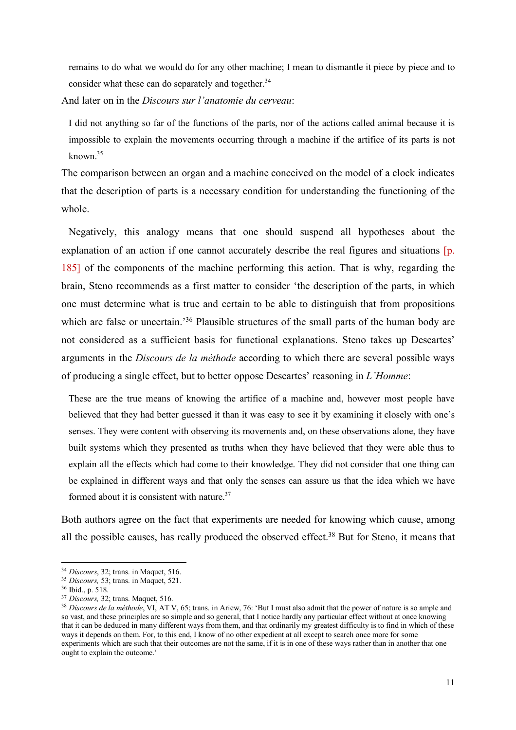remains to do what we would do for any other machine; I mean to dismantle it piece by piece and to consider what these can do separately and together.<sup>34</sup>

And later on in the *Discours sur l'anatomie du cerveau*:

I did not anything so far of the functions of the parts, nor of the actions called animal because it is impossible to explain the movements occurring through a machine if the artifice of its parts is not known.35

The comparison between an organ and a machine conceived on the model of a clock indicates that the description of parts is a necessary condition for understanding the functioning of the whole.

Negatively, this analogy means that one should suspend all hypotheses about the explanation of an action if one cannot accurately describe the real figures and situations [p. 185] of the components of the machine performing this action. That is why, regarding the brain, Steno recommends as a first matter to consider 'the description of the parts, in which one must determine what is true and certain to be able to distinguish that from propositions which are false or uncertain.<sup>36</sup> Plausible structures of the small parts of the human body are not considered as a sufficient basis for functional explanations. Steno takes up Descartes' arguments in the *Discours de la méthode* according to which there are several possible ways of producing a single effect, but to better oppose Descartes' reasoning in *L'Homme*:

These are the true means of knowing the artifice of a machine and, however most people have believed that they had better guessed it than it was easy to see it by examining it closely with one's senses. They were content with observing its movements and, on these observations alone, they have built systems which they presented as truths when they have believed that they were able thus to explain all the effects which had come to their knowledge. They did not consider that one thing can be explained in different ways and that only the senses can assure us that the idea which we have formed about it is consistent with nature.<sup>37</sup>

Both authors agree on the fact that experiments are needed for knowing which cause, among all the possible causes, has really produced the observed effect.<sup>38</sup> But for Steno, it means that

<sup>34</sup> *Discours*, 32; trans. in Maquet, 516.

<sup>35</sup> *Discours,* 53; trans. in Maquet, 521.

<sup>36</sup> Ibid., p. 518.

<sup>37</sup> *Discours,* 32; trans. Maquet, 516.

<sup>&</sup>lt;sup>38</sup> Discours de la méthode, VI, AT V, 65; trans. in Ariew, 76: 'But I must also admit that the power of nature is so ample and so vast, and these principles are so simple and so general, that I notice hardly any particular effect without at once knowing that it can be deduced in many different ways from them, and that ordinarily my greatest difficulty is to find in which of these ways it depends on them. For, to this end, I know of no other expedient at all except to search once more for some experiments which are such that their outcomes are not the same, if it is in one of these ways rather than in another that one ought to explain the outcome.'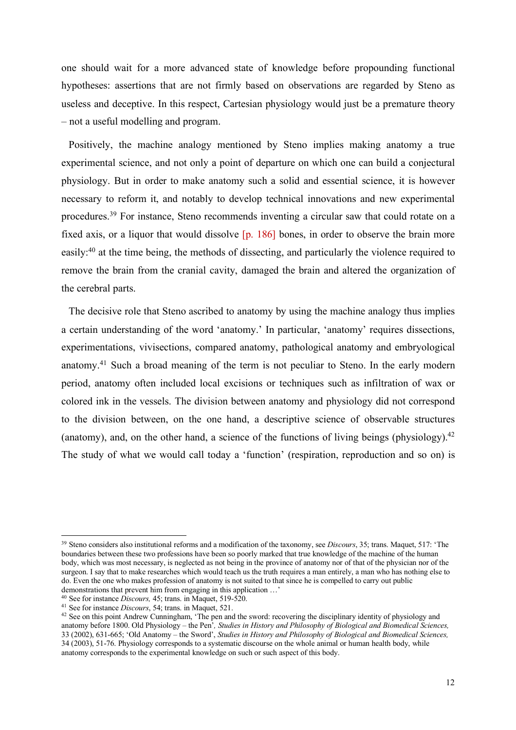one should wait for a more advanced state of knowledge before propounding functional hypotheses: assertions that are not firmly based on observations are regarded by Steno as useless and deceptive. In this respect, Cartesian physiology would just be a premature theory – not a useful modelling and program.

Positively, the machine analogy mentioned by Steno implies making anatomy a true experimental science, and not only a point of departure on which one can build a conjectural physiology. But in order to make anatomy such a solid and essential science, it is however necessary to reform it, and notably to develop technical innovations and new experimental procedures.39 For instance, Steno recommends inventing a circular saw that could rotate on a fixed axis, or a liquor that would dissolve [p. 186] bones, in order to observe the brain more easily:40 at the time being, the methods of dissecting, and particularly the violence required to remove the brain from the cranial cavity, damaged the brain and altered the organization of the cerebral parts.

The decisive role that Steno ascribed to anatomy by using the machine analogy thus implies a certain understanding of the word 'anatomy.' In particular, 'anatomy' requires dissections, experimentations, vivisections, compared anatomy, pathological anatomy and embryological anatomy.41 Such a broad meaning of the term is not peculiar to Steno. In the early modern period, anatomy often included local excisions or techniques such as infiltration of wax or colored ink in the vessels. The division between anatomy and physiology did not correspond to the division between, on the one hand, a descriptive science of observable structures (anatomy), and, on the other hand, a science of the functions of living beings (physiology). 42 The study of what we would call today a 'function' (respiration, reproduction and so on) is

<sup>39</sup> Steno considers also institutional reforms and a modification of the taxonomy, see *Discours*, 35; trans. Maquet, 517: 'The boundaries between these two professions have been so poorly marked that true knowledge of the machine of the human body, which was most necessary, is neglected as not being in the province of anatomy nor of that of the physician nor of the surgeon. I say that to make researches which would teach us the truth requires a man entirely, a man who has nothing else to do. Even the one who makes profession of anatomy is not suited to that since he is compelled to carry out public demonstrations that prevent him from engaging in this application …'

<sup>40</sup> See for instance *Discours,* 45; trans. in Maquet, 519-520.

<sup>41</sup> See for instance *Discours*, 54; trans. in Maquet, 521.

<sup>&</sup>lt;sup>42</sup> See on this point Andrew Cunningham, 'The pen and the sword: recovering the disciplinary identity of physiology and anatomy before 1800. Old Physiology – the Pen'*, Studies in History and Philosophy of Biological and Biomedical Sciences,*  33 (2002), 631-665; 'Old Anatomy – the Sword', *Studies in History and Philosophy of Biological and Biomedical Sciences,*  34 (2003), 51-76. Physiology corresponds to a systematic discourse on the whole animal or human health body, while anatomy corresponds to the experimental knowledge on such or such aspect of this body.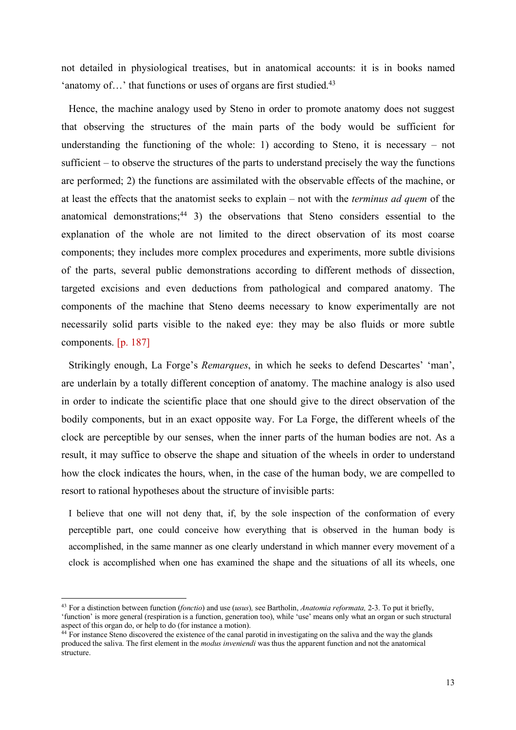not detailed in physiological treatises, but in anatomical accounts: it is in books named 'anatomy of...' that functions or uses of organs are first studied.<sup>43</sup>

Hence, the machine analogy used by Steno in order to promote anatomy does not suggest that observing the structures of the main parts of the body would be sufficient for understanding the functioning of the whole: 1) according to Steno, it is necessary  $-$  not sufficient – to observe the structures of the parts to understand precisely the way the functions are performed; 2) the functions are assimilated with the observable effects of the machine, or at least the effects that the anatomist seeks to explain – not with the *terminus ad quem* of the anatomical demonstrations; <sup>44</sup> 3) the observations that Steno considers essential to the explanation of the whole are not limited to the direct observation of its most coarse components; they includes more complex procedures and experiments, more subtle divisions of the parts, several public demonstrations according to different methods of dissection, targeted excisions and even deductions from pathological and compared anatomy. The components of the machine that Steno deems necessary to know experimentally are not necessarily solid parts visible to the naked eye: they may be also fluids or more subtle components. [p. 187]

Strikingly enough, La Forge's *Remarques*, in which he seeks to defend Descartes' 'man', are underlain by a totally different conception of anatomy. The machine analogy is also used in order to indicate the scientific place that one should give to the direct observation of the bodily components, but in an exact opposite way. For La Forge, the different wheels of the clock are perceptible by our senses, when the inner parts of the human bodies are not. As a result, it may suffice to observe the shape and situation of the wheels in order to understand how the clock indicates the hours, when, in the case of the human body, we are compelled to resort to rational hypotheses about the structure of invisible parts:

I believe that one will not deny that, if, by the sole inspection of the conformation of every perceptible part, one could conceive how everything that is observed in the human body is accomplished, in the same manner as one clearly understand in which manner every movement of a clock is accomplished when one has examined the shape and the situations of all its wheels, one

<sup>43</sup> For a distinction between function (*fonctio*) and use (*usus*)*,* see Bartholin, *Anatomia reformata,* 2-3. To put it briefly, 'function' is more general (respiration is a function, generation too), while 'use' means only what an organ or such structural aspect of this organ do, or help to do (for instance a motion).<br><sup>44</sup> For instance Steno discovered the existence of the canal parotid in investigating on the saliva and the way the glands

produced the saliva. The first element in the *modus inveniendi* was thus the apparent function and not the anatomical structure.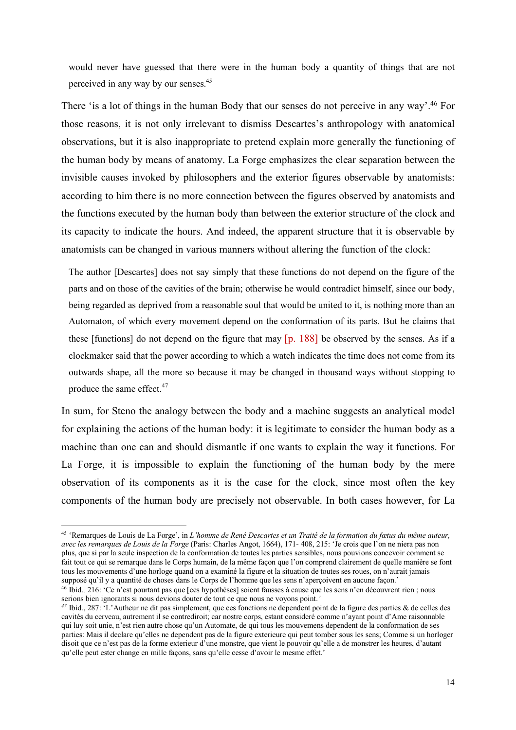would never have guessed that there were in the human body a quantity of things that are not perceived in any way by our senses.45

There 'is a lot of things in the human Body that our senses do not perceive in any way'.<sup>46</sup> For those reasons, it is not only irrelevant to dismiss Descartes's anthropology with anatomical observations, but it is also inappropriate to pretend explain more generally the functioning of the human body by means of anatomy. La Forge emphasizes the clear separation between the invisible causes invoked by philosophers and the exterior figures observable by anatomists: according to him there is no more connection between the figures observed by anatomists and the functions executed by the human body than between the exterior structure of the clock and its capacity to indicate the hours. And indeed, the apparent structure that it is observable by anatomists can be changed in various manners without altering the function of the clock:

The author [Descartes] does not say simply that these functions do not depend on the figure of the parts and on those of the cavities of the brain; otherwise he would contradict himself, since our body, being regarded as deprived from a reasonable soul that would be united to it, is nothing more than an Automaton, of which every movement depend on the conformation of its parts. But he claims that these [functions] do not depend on the figure that may [p. 188] be observed by the senses. As if a clockmaker said that the power according to which a watch indicates the time does not come from its outwards shape, all the more so because it may be changed in thousand ways without stopping to produce the same effect.<sup>47</sup>

In sum, for Steno the analogy between the body and a machine suggests an analytical model for explaining the actions of the human body: it is legitimate to consider the human body as a machine than one can and should dismantle if one wants to explain the way it functions. For La Forge, it is impossible to explain the functioning of the human body by the mere observation of its components as it is the case for the clock, since most often the key components of the human body are precisely not observable. In both cases however, for La

<sup>45</sup> 'Remarques de Louis de La Forge', in *L'homme de René Descartes et un Traité de la formation du fœtus du même auteur, avec les remarques de Louis de la Forge* (Paris: Charles Angot, 1664), 171- 408, 215: 'Je crois que l'on ne niera pas non plus, que si par la seule inspection de la conformation de toutes les parties sensibles, nous pouvions concevoir comment se fait tout ce qui se remarque dans le Corps humain, de la même façon que l'on comprend clairement de quelle manière se font tous les mouvements d'une horloge quand on a examiné la figure et la situation de toutes ses roues, on n'aurait jamais supposé qu'il y a quantité de choses dans le Corps de l'homme que les sens n'aperçoivent en aucune façon.'

<sup>46</sup> Ibid.*,* 216: 'Ce n'est pourtant pas que [ces hypothèses] soient fausses à cause que les sens n'en découvrent rien ; nous serions bien ignorants si nous devions douter de tout ce que nous ne voyons point.*'*

*<sup>47</sup>* Ibid., 287: 'L'Autheur ne dit pas simplement, que ces fonctions ne dependent point de la figure des parties & de celles des cavités du cerveau, autrement il se contrediroit; car nostre corps, estant consideré comme n'ayant point d'Ame raisonnable qui luy soit unie, n'est rien autre chose qu'un Automate, de qui tous les mouvemens dependent de la conformation de ses parties: Mais il declare qu'elles ne dependent pas de la figure exterieure qui peut tomber sous les sens; Comme si un horloger disoit que ce n'est pas de la forme exterieur d'une monstre, que vient le pouvoir qu'elle a de monstrer les heures, d'autant qu'elle peut ester change en mille façons, sans qu'elle cesse d'avoir le mesme effet.'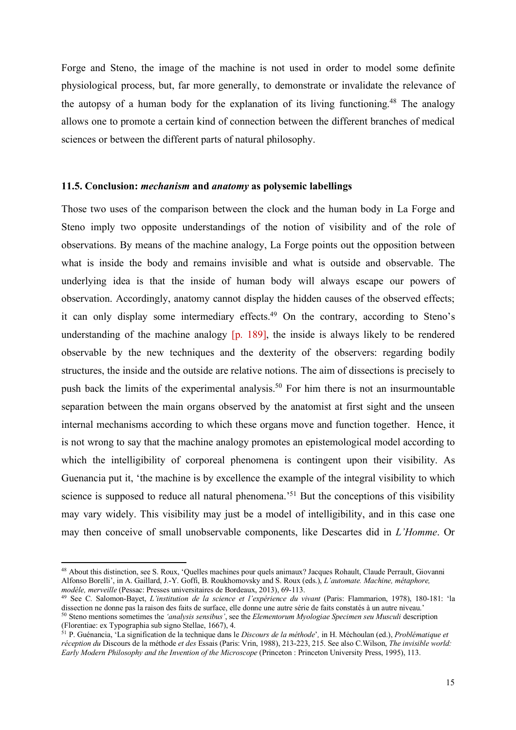Forge and Steno, the image of the machine is not used in order to model some definite physiological process, but, far more generally, to demonstrate or invalidate the relevance of the autopsy of a human body for the explanation of its living functioning.48 The analogy allows one to promote a certain kind of connection between the different branches of medical sciences or between the different parts of natural philosophy.

## **11.5. Conclusion:** *mechanism* **and** *anatomy* **as polysemic labellings**

Those two uses of the comparison between the clock and the human body in La Forge and Steno imply two opposite understandings of the notion of visibility and of the role of observations. By means of the machine analogy, La Forge points out the opposition between what is inside the body and remains invisible and what is outside and observable. The underlying idea is that the inside of human body will always escape our powers of observation. Accordingly, anatomy cannot display the hidden causes of the observed effects; it can only display some intermediary effects.<sup>49</sup> On the contrary, according to Steno's understanding of the machine analogy [p. 189], the inside is always likely to be rendered observable by the new techniques and the dexterity of the observers: regarding bodily structures, the inside and the outside are relative notions. The aim of dissections is precisely to push back the limits of the experimental analysis.50 For him there is not an insurmountable separation between the main organs observed by the anatomist at first sight and the unseen internal mechanisms according to which these organs move and function together. Hence, it is not wrong to say that the machine analogy promotes an epistemological model according to which the intelligibility of corporeal phenomena is contingent upon their visibility. As Guenancia put it, 'the machine is by excellence the example of the integral visibility to which science is supposed to reduce all natural phenomena.<sup>51</sup> But the conceptions of this visibility may vary widely. This visibility may just be a model of intelligibility, and in this case one may then conceive of small unobservable components, like Descartes did in *L'Homme*. Or

<sup>48</sup> About this distinction, see S. Roux, 'Quelles machines pour quels animaux? Jacques Rohault, Claude Perrault, Giovanni Alfonso Borelli', in A. Gaillard, J.-Y. Goffi, B. Roukhomovsky and S. Roux (eds.), *L'automate. Machine, métaphore, modèle, merveille* (Pessac: Presses universitaires de Bordeaux, 2013), 69-113.

<sup>49</sup> See C. Salomon-Bayet, *L'institution de la science et l'expérience du vivant* (Paris: Flammarion, 1978), 180-181: 'la dissection ne donne pas la raison des faits de surface, elle donne une autre série de faits constatés à un autre niveau.' <sup>50</sup> Steno mentions sometimes the *'analysis sensibus'*, see the *Elementorum Myologiae Specimen seu Musculi* description (Florentiae: ex Typographia sub signo Stellae, 1667), 4.

<sup>51</sup> P. Guénancia, 'La signification de la technique dans le *Discours de la méthode*'*,* in H. Méchoulan (ed.), *Problématique et réception du* Discours de la méthode *et des* Essais (Paris: Vrin, 1988), 213-223, 215. See also C.Wilson, *The invisible world: Early Modern Philosophy and the Invention of the Microscope* (Princeton : Princeton University Press, 1995), 113.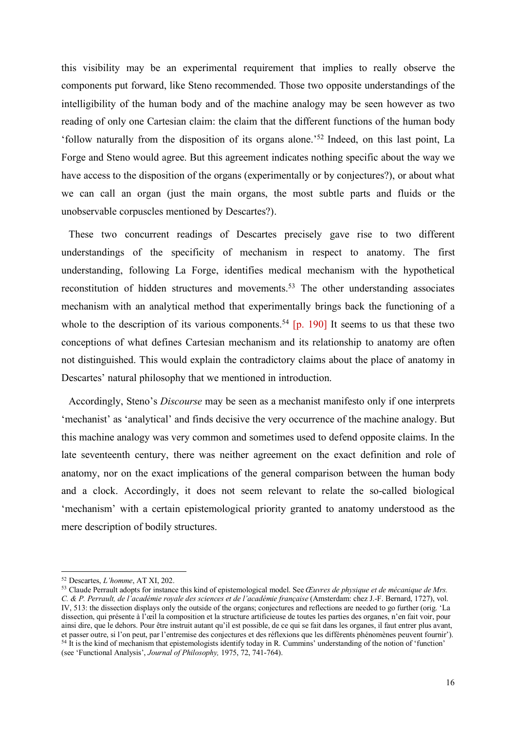this visibility may be an experimental requirement that implies to really observe the components put forward, like Steno recommended. Those two opposite understandings of the intelligibility of the human body and of the machine analogy may be seen however as two reading of only one Cartesian claim: the claim that the different functions of the human body 'follow naturally from the disposition of its organs alone.' <sup>52</sup> Indeed, on this last point, La Forge and Steno would agree. But this agreement indicates nothing specific about the way we have access to the disposition of the organs (experimentally or by conjectures?), or about what we can call an organ (just the main organs, the most subtle parts and fluids or the unobservable corpuscles mentioned by Descartes?).

These two concurrent readings of Descartes precisely gave rise to two different understandings of the specificity of mechanism in respect to anatomy. The first understanding, following La Forge, identifies medical mechanism with the hypothetical reconstitution of hidden structures and movements.<sup>53</sup> The other understanding associates mechanism with an analytical method that experimentally brings back the functioning of a whole to the description of its various components.<sup>54</sup> [p. 190] It seems to us that these two conceptions of what defines Cartesian mechanism and its relationship to anatomy are often not distinguished. This would explain the contradictory claims about the place of anatomy in Descartes' natural philosophy that we mentioned in introduction.

Accordingly, Steno's *Discourse* may be seen as a mechanist manifesto only if one interprets 'mechanist' as 'analytical' and finds decisive the very occurrence of the machine analogy. But this machine analogy was very common and sometimes used to defend opposite claims. In the late seventeenth century, there was neither agreement on the exact definition and role of anatomy, nor on the exact implications of the general comparison between the human body and a clock. Accordingly, it does not seem relevant to relate the so-called biological 'mechanism' with a certain epistemological priority granted to anatomy understood as the mere description of bodily structures.

<sup>52</sup> Descartes, *L'homme*, AT XI, 202.

<sup>53</sup> Claude Perrault adopts for instance this kind of epistemological model. See *Œuvres de physique et de mécanique de Mrs. C. & P. Perrault, de l'académie royale des sciences et de l'académie française* (Amsterdam: chez J.-F. Bernard, 1727), vol. IV, 513: the dissection displays only the outside of the organs; conjectures and reflections are needed to go further (orig. 'La dissection, qui présente à l'œil la composition et la structure artificieuse de toutes les parties des organes, n'en fait voir, pour ainsi dire, que le dehors. Pour être instruit autant qu'il est possible, de ce qui se fait dans les organes, il faut entrer plus avant, et passer outre, si l'on peut, par l'entremise des conjectures et des réflexions que les différents phénomènes peuvent fournir').  $54$  It is the kind of mechanism that epistemologists identify today in R. Cummins' understanding of the notion of 'function' (see 'Functional Analysis', *Journal of Philosophy,* 1975, 72, 741-764).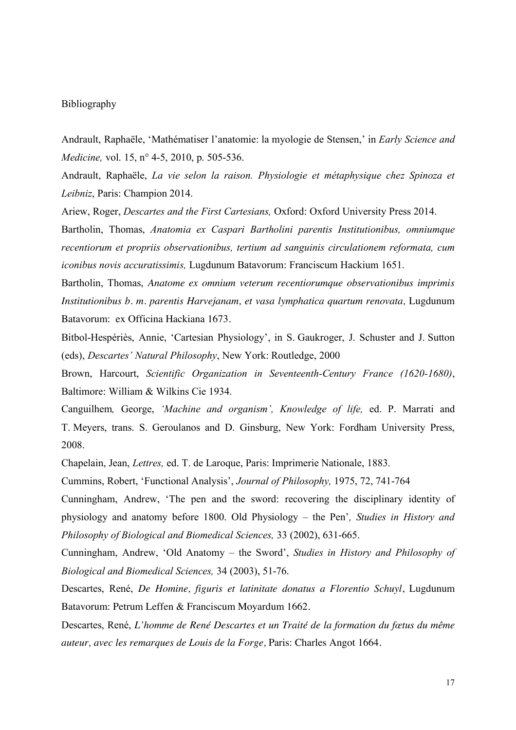## Bibliography

Andrault, Raphaële, 'Mathématiser l'anatomie: la myologie de Stensen,' in *Early Science and Medicine,* vol. 15, n° 4-5, 2010, p. 505-536.

Andrault, Raphaële, *La vie selon la raison. Physiologie et métaphysique chez Spinoza et Leibniz*, Paris: Champion 2014.

Ariew, Roger, *Descartes and the First Cartesians,* Oxford: Oxford University Press 2014.

Bartholin, Thomas, *Anatomia ex Caspari Bartholini parentis Institutionibus, omniumque recentiorum et propriis observationibus, tertium ad sanguinis circulationem reformata, cum iconibus novis accuratissimis,* Lugdunum Batavorum: Franciscum Hackium 1651.

Bartholin, Thomas, *Anatome ex omnium veterum recentiorumque observationibus imprimis Institutionibus b. m. parentis Harvejanam, et vasa lymphatica quartum renovata,* Lugdunum Batavorum: ex Officina Hackiana 1673.

Bitbol-Hespériès, Annie, 'Cartesian Physiology', in S. Gaukroger, J. Schuster and J. Sutton (eds), *Descartes' Natural Philosophy*, New York: Routledge, 2000

Brown, Harcourt, *Scientific Organization in Seventeenth-Century France (1620-1680)*, Baltimore: William & Wilkins Cie 1934.

Canguilhem*,* George, *'Machine and organism', Knowledge of life,* ed. P. Marrati and T. Meyers, trans. S. Geroulanos and D. Ginsburg, New York: Fordham University Press, 2008.

Chapelain, Jean, *Lettres,* ed. T. de Laroque, Paris: Imprimerie Nationale, 1883.

Cummins, Robert, 'Functional Analysis', *Journal of Philosophy,* 1975, 72, 741-764

Cunningham, Andrew, 'The pen and the sword: recovering the disciplinary identity of physiology and anatomy before 1800. Old Physiology – the Pen'*, Studies in History and Philosophy of Biological and Biomedical Sciences,* 33 (2002), 631-665.

Cunningham, Andrew, 'Old Anatomy – the Sword', *Studies in History and Philosophy of Biological and Biomedical Sciences,* 34 (2003), 51-76.

Descartes, René, *De Homine, figuris et latinitate donatus a Florentio Schuyl*, Lugdunum Batavorum: Petrum Leffen & Franciscum Moyardum 1662.

Descartes, René, *L'homme de René Descartes et un Traité de la formation du fœtus du même auteur, avec les remarques de Louis de la Forge,* Paris: Charles Angot 1664.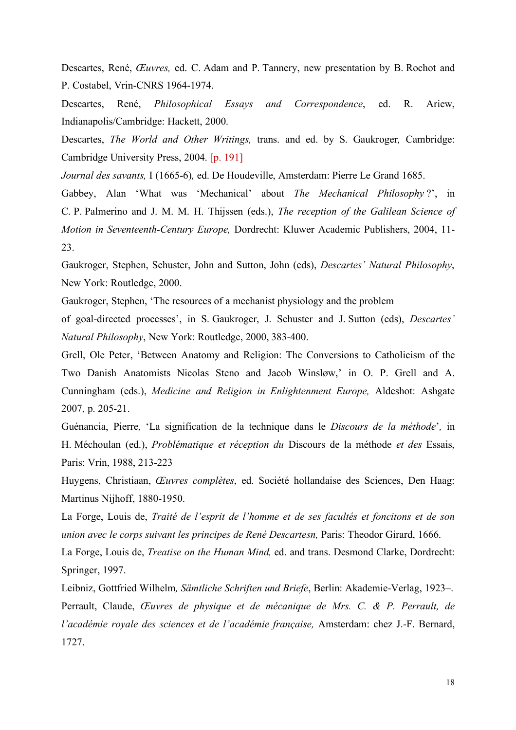Descartes, René, *Œuvres,* ed. C. Adam and P. Tannery, new presentation by B. Rochot and P. Costabel, Vrin-CNRS 1964-1974.

Descartes, René, *Philosophical Essays and Correspondence*, ed. R. Ariew, Indianapolis/Cambridge: Hackett, 2000.

Descartes, *The World and Other Writings,* trans. and ed. by S. Gaukroger*,* Cambridge: Cambridge University Press, 2004. [p. 191]

*Journal des savants,* I (1665-6)*,* ed. De Houdeville, Amsterdam: Pierre Le Grand 1685.

Gabbey, Alan 'What was 'Mechanical' about *The Mechanical Philosophy* ?', in C. P. Palmerino and J. M. M. H. Thijssen (eds.), *The reception of the Galilean Science of Motion in Seventeenth-Century Europe,* Dordrecht: Kluwer Academic Publishers, 2004, 11- 23.

Gaukroger, Stephen, Schuster, John and Sutton, John (eds), *Descartes' Natural Philosophy*, New York: Routledge, 2000.

Gaukroger, Stephen, 'The resources of a mechanist physiology and the problem

of goal-directed processes', in S. Gaukroger, J. Schuster and J. Sutton (eds), *Descartes' Natural Philosophy*, New York: Routledge, 2000, 383-400.

Grell, Ole Peter, 'Between Anatomy and Religion: The Conversions to Catholicism of the Two Danish Anatomists Nicolas Steno and Jacob Winsløw,' in O. P. Grell and A. Cunningham (eds.), *Medicine and Religion in Enlightenment Europe,* Aldeshot: Ashgate 2007, p. 205-21.

Guénancia, Pierre, 'La signification de la technique dans le *Discours de la méthode*'*,* in H. Méchoulan (ed.), *Problématique et réception du* Discours de la méthode *et des* Essais, Paris: Vrin, 1988, 213-223

Huygens, Christiaan, *Œuvres complètes*, ed. Société hollandaise des Sciences, Den Haag: Martinus Nijhoff, 1880-1950.

La Forge, Louis de, *Traité de l'esprit de l'homme et de ses facultés et foncitons et de son union avec le corps suivant les principes de René Descartesn*, Paris: Theodor Girard, 1666.

La Forge, Louis de, *Treatise on the Human Mind,* ed. and trans. Desmond Clarke, Dordrecht: Springer, 1997.

Leibniz, Gottfried Wilhelm*, Sämtliche Schriften und Briefe*, Berlin: Akademie-Verlag, 1923–. Perrault, Claude, *Œuvres de physique et de mécanique de Mrs. C. & P. Perrault, de l'académie royale des sciences et de l'académie française,* Amsterdam: chez J.-F. Bernard, 1727.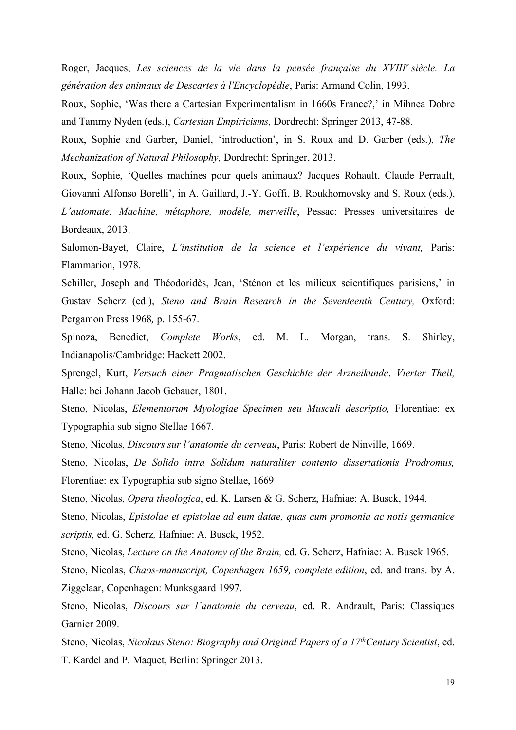Roger, Jacques, *Les sciences de la vie dans la pensée française du XVIIIe siècle. La génération des animaux de Descartes à l'Encyclopédie*, Paris: Armand Colin, 1993.

Roux, Sophie, 'Was there a Cartesian Experimentalism in 1660s France?,' in Mihnea Dobre and Tammy Nyden (eds.), *Cartesian Empiricisms,* Dordrecht: Springer 2013, 47-88.

Roux, Sophie and Garber, Daniel, 'introduction', in S. Roux and D. Garber (eds.), *The Mechanization of Natural Philosophy,* Dordrecht: Springer, 2013.

Roux, Sophie, 'Quelles machines pour quels animaux? Jacques Rohault, Claude Perrault, Giovanni Alfonso Borelli', in A. Gaillard, J.-Y. Goffi, B. Roukhomovsky and S. Roux (eds.), *L'automate. Machine, métaphore, modèle, merveille*, Pessac: Presses universitaires de Bordeaux, 2013.

Salomon-Bayet, Claire, *L'institution de la science et l'expérience du vivant*, Paris: Flammarion, 1978.

Schiller, Joseph and Théodoridès, Jean, 'Sténon et les milieux scientifiques parisiens,' in Gustav Scherz (ed.), *Steno and Brain Research in the Seventeenth Century,* Oxford: Pergamon Press 1968*,* p. 155-67.

Spinoza, Benedict, *Complete Works*, ed. M. L. Morgan, trans. S. Shirley, Indianapolis/Cambridge: Hackett 2002.

Sprengel, Kurt, *Versuch einer Pragmatischen Geschichte der Arzneikunde*. *Vierter Theil,*  Halle: bei Johann Jacob Gebauer, 1801.

Steno, Nicolas, *Elementorum Myologiae Specimen seu Musculi descriptio*, Florentiae: ex Typographia sub signo Stellae 1667.

Steno, Nicolas, *Discours sur l'anatomie du cerveau*, Paris: Robert de Ninville, 1669.

Steno, Nicolas, *De Solido intra Solidum naturaliter contento dissertationis Prodromus,*  Florentiae: ex Typographia sub signo Stellae, 1669

Steno, Nicolas, *Opera theologica*, ed. K. Larsen & G. Scherz, Hafniae: A. Busck, 1944.

Steno, Nicolas, *Epistolae et epistolae ad eum datae, quas cum promonia ac notis germanice scriptis,* ed. G. Scherz*,* Hafniae: A. Busck, 1952.

Steno, Nicolas, *Lecture on the Anatomy of the Brain,* ed. G. Scherz, Hafniae: A. Busck 1965.

Steno, Nicolas, *Chaos-manuscript, Copenhagen 1659, complete edition*, ed. and trans. by A. Ziggelaar, Copenhagen: Munksgaard 1997.

Steno, Nicolas, *Discours sur l'anatomie du cerveau*, ed. R. Andrault, Paris: Classiques Garnier 2009.

Steno, Nicolas, *Nicolaus Steno: Biography and Original Papers of a 17<sup>th</sup>Century Scientist*, ed. T. Kardel and P. Maquet, Berlin: Springer 2013.